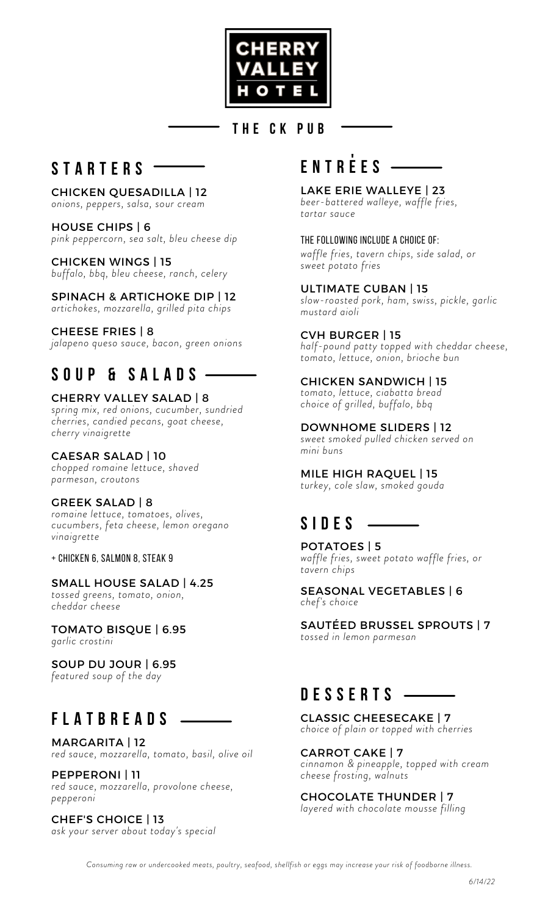

### **T H E C K P U B**

### **S T A R T E R S**

CHICKEN QUESADILLA | 12 *onions, peppers, salsa, sour cream*

### HOUSE CHIPS | 6

*pink peppercorn, sea salt, bleu cheese dip*

CHICKEN WINGS | 15 *buffalo, bbq, bleu cheese, ranch, celery*

SPINACH & ARTICHOKE DIP | 12 *artichokes, mozzarella, grilled pita chips*

#### CHEESE FRIES | 8

*jalapeno queso sauce, bacon, green onions*

# **S O U P & S A L A D S**

#### CHERRY VALLEY SALAD | 8

*spring mix, red onions, cucumber, sundried cherries, candied pecans, goat cheese, cherry vinaigrette*

#### CAESAR SALAD | 10

*chopped romaine lettuce, shaved parmesan, croutons*

#### GREEK SALAD | 8

*romaine lettuce, tomatoes, olives, cucumbers, feta cheese, lemon oregano vinaigrette*

+ chicken 6, salmon 8, steak 9

#### SMALL HOUSE SALAD | 4.25

*tossed greens, tomato, onion, cheddar cheese*

TOMATO BISQUE | 6.95 *garlic crostini*

SOUP DU JOUR | 6.95 *featured soup of the day*

# **F L A T B R E A D S**

MARGARITA | 12 *red sauce, mozzarella, tomato, basil, olive oil*

PEPPERONI | 11 *red sauce, mozzarella, provolone cheese, pepperoni*

CHEF'S CHOICE | 13 *ask your server about today's special*

# **E N T R E E S '**

#### LAKE ERIE WALLEYE | 23

*beer-battered walleye, waffle fries, tartar sauce*

The following include a choice of:

*waffle fries, tavern chips, side salad, or sweet potato fries*

#### ULTIMATE CUBAN | 15

*slow-roasted pork, ham, swiss, pickle, garlic mustard aioli*

#### CVH BURGER | 15

*half-pound patty topped with cheddar cheese, tomato, lettuce, onion, brioche bun*

#### CHICKEN SANDWICH | 15

*tomato, lettuce, ciabatta bread choice of grilled, buffalo, bbq*

DOWNHOME SLIDERS | 12 *sweet smoked pulled chicken served on*

*mini buns*

MILE HIGH RAQUEL | 15 *turkey, cole slaw, smoked gouda*

# **S I D E S**

POTATOES | 5 *waffle fries, sweet potato waffle fries, or tavern chips*

SEASONAL VEGETABLES | 6 *chef's choice*

SAUTÉED BRUSSEL SPROUTS | 7 *tossed in lemon parmesan*

# **D E S S E R T S**

CLASSIC CHEESECAKE | 7 *choice of plain or topped with cherries*

CARROT CAKE | 7 *cinnamon & pineapple, topped with cream cheese frosting, walnuts*

#### CHOCOLATE THUNDER | 7

*layered with chocolate mousse filling*

Consuming raw or undercooked meats, poultry, seafood, shellfish or eggs may increase your risk of foodborne illness.